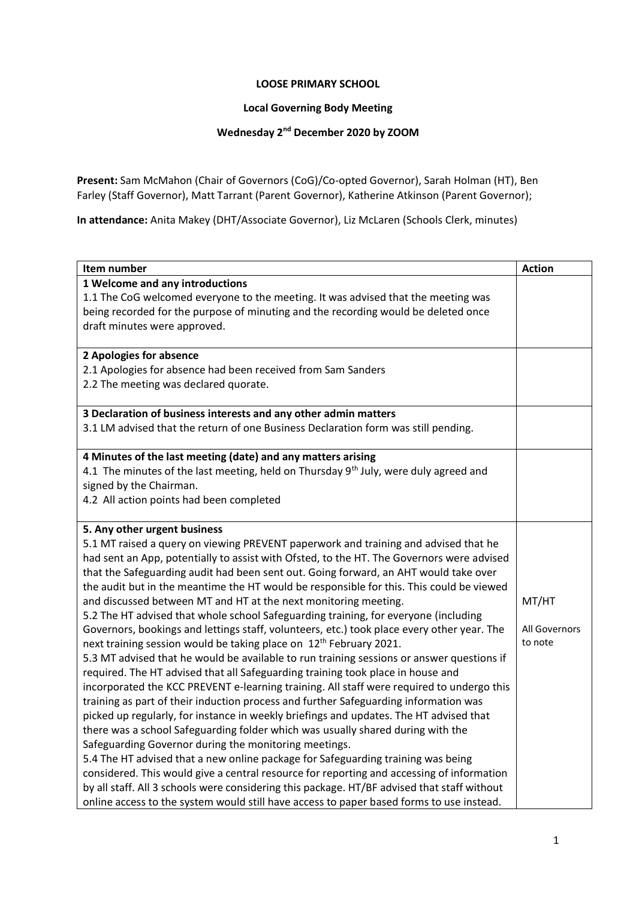## **LOOSE PRIMARY SCHOOL**

## **Local Governing Body Meeting**

## **Wednesday 2nd December 2020 by ZOOM**

**Present:** Sam McMahon (Chair of Governors (CoG)/Co-opted Governor), Sarah Holman (HT), Ben Farley (Staff Governor), Matt Tarrant (Parent Governor), Katherine Atkinson (Parent Governor);

**In attendance:** Anita Makey (DHT/Associate Governor), Liz McLaren (Schools Clerk, minutes)

| Item number                                                                                      | <b>Action</b> |
|--------------------------------------------------------------------------------------------------|---------------|
| 1 Welcome and any introductions                                                                  |               |
| 1.1 The CoG welcomed everyone to the meeting. It was advised that the meeting was                |               |
| being recorded for the purpose of minuting and the recording would be deleted once               |               |
| draft minutes were approved.                                                                     |               |
|                                                                                                  |               |
| 2 Apologies for absence                                                                          |               |
| 2.1 Apologies for absence had been received from Sam Sanders                                     |               |
| 2.2 The meeting was declared quorate.                                                            |               |
|                                                                                                  |               |
| 3 Declaration of business interests and any other admin matters                                  |               |
| 3.1 LM advised that the return of one Business Declaration form was still pending.               |               |
|                                                                                                  |               |
| 4 Minutes of the last meeting (date) and any matters arising                                     |               |
| 4.1 The minutes of the last meeting, held on Thursday 9 <sup>th</sup> July, were duly agreed and |               |
| signed by the Chairman.                                                                          |               |
| 4.2 All action points had been completed                                                         |               |
|                                                                                                  |               |
| 5. Any other urgent business                                                                     |               |
| 5.1 MT raised a query on viewing PREVENT paperwork and training and advised that he              |               |
| had sent an App, potentially to assist with Ofsted, to the HT. The Governors were advised        |               |
| that the Safeguarding audit had been sent out. Going forward, an AHT would take over             |               |
| the audit but in the meantime the HT would be responsible for this. This could be viewed         |               |
| and discussed between MT and HT at the next monitoring meeting.                                  | MT/HT         |
| 5.2 The HT advised that whole school Safeguarding training, for everyone (including              |               |
| Governors, bookings and lettings staff, volunteers, etc.) took place every other year. The       | All Governors |
| next training session would be taking place on 12 <sup>th</sup> February 2021.                   | to note       |
| 5.3 MT advised that he would be available to run training sessions or answer questions if        |               |
| required. The HT advised that all Safeguarding training took place in house and                  |               |
| incorporated the KCC PREVENT e-learning training. All staff were required to undergo this        |               |
| training as part of their induction process and further Safeguarding information was             |               |
| picked up regularly, for instance in weekly briefings and updates. The HT advised that           |               |
| there was a school Safeguarding folder which was usually shared during with the                  |               |
| Safeguarding Governor during the monitoring meetings.                                            |               |
| 5.4 The HT advised that a new online package for Safeguarding training was being                 |               |
| considered. This would give a central resource for reporting and accessing of information        |               |
| by all staff. All 3 schools were considering this package. HT/BF advised that staff without      |               |
| online access to the system would still have access to paper based forms to use instead.         |               |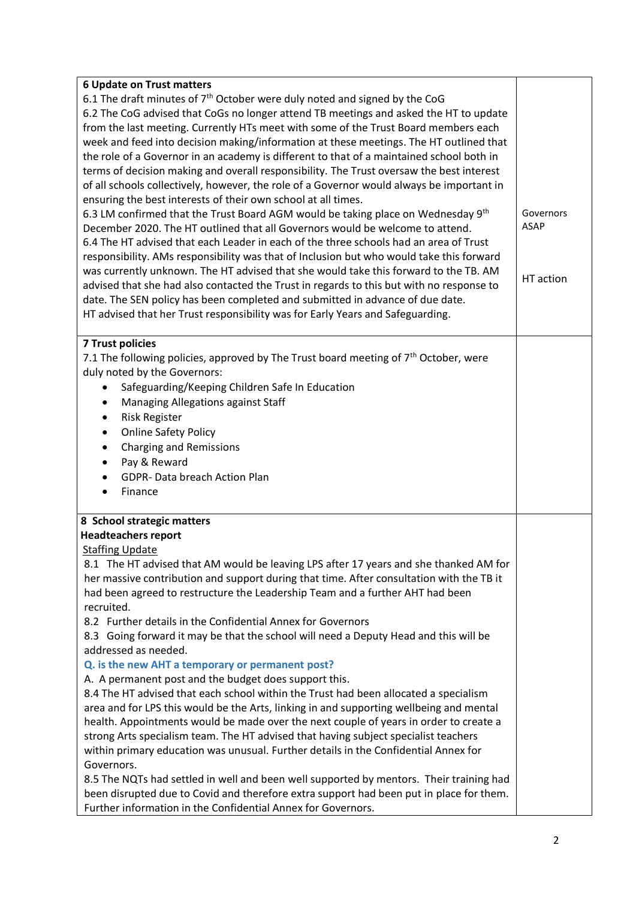| <b>6 Update on Trust matters</b>                                                                                                                                              |           |  |                                                                                       |  |
|-------------------------------------------------------------------------------------------------------------------------------------------------------------------------------|-----------|--|---------------------------------------------------------------------------------------|--|
| 6.1 The draft minutes of 7 <sup>th</sup> October were duly noted and signed by the CoG                                                                                        |           |  |                                                                                       |  |
| 6.2 The CoG advised that CoGs no longer attend TB meetings and asked the HT to update                                                                                         |           |  |                                                                                       |  |
| from the last meeting. Currently HTs meet with some of the Trust Board members each                                                                                           |           |  |                                                                                       |  |
| week and feed into decision making/information at these meetings. The HT outlined that                                                                                        |           |  |                                                                                       |  |
| the role of a Governor in an academy is different to that of a maintained school both in                                                                                      |           |  |                                                                                       |  |
| terms of decision making and overall responsibility. The Trust oversaw the best interest                                                                                      |           |  |                                                                                       |  |
| of all schools collectively, however, the role of a Governor would always be important in                                                                                     |           |  |                                                                                       |  |
| ensuring the best interests of their own school at all times.                                                                                                                 |           |  |                                                                                       |  |
| 6.3 LM confirmed that the Trust Board AGM would be taking place on Wednesday 9 <sup>th</sup><br>December 2020. The HT outlined that all Governors would be welcome to attend. |           |  |                                                                                       |  |
|                                                                                                                                                                               |           |  | 6.4 The HT advised that each Leader in each of the three schools had an area of Trust |  |
| responsibility. AMs responsibility was that of Inclusion but who would take this forward                                                                                      |           |  |                                                                                       |  |
| was currently unknown. The HT advised that she would take this forward to the TB. AM                                                                                          | HT action |  |                                                                                       |  |
| advised that she had also contacted the Trust in regards to this but with no response to                                                                                      |           |  |                                                                                       |  |
| date. The SEN policy has been completed and submitted in advance of due date.                                                                                                 |           |  |                                                                                       |  |
| HT advised that her Trust responsibility was for Early Years and Safeguarding.                                                                                                |           |  |                                                                                       |  |
|                                                                                                                                                                               |           |  |                                                                                       |  |
| <b>7 Trust policies</b>                                                                                                                                                       |           |  |                                                                                       |  |
| 7.1 The following policies, approved by The Trust board meeting of $7th$ October, were                                                                                        |           |  |                                                                                       |  |
| duly noted by the Governors:                                                                                                                                                  |           |  |                                                                                       |  |
| Safeguarding/Keeping Children Safe In Education                                                                                                                               |           |  |                                                                                       |  |
| Managing Allegations against Staff<br>$\bullet$                                                                                                                               |           |  |                                                                                       |  |
| <b>Risk Register</b><br>$\bullet$                                                                                                                                             |           |  |                                                                                       |  |
| <b>Online Safety Policy</b><br>$\bullet$                                                                                                                                      |           |  |                                                                                       |  |
| <b>Charging and Remissions</b><br>$\bullet$                                                                                                                                   |           |  |                                                                                       |  |
| Pay & Reward<br>$\bullet$                                                                                                                                                     |           |  |                                                                                       |  |
| GDPR-Data breach Action Plan<br>$\bullet$                                                                                                                                     |           |  |                                                                                       |  |
| Finance<br>$\bullet$                                                                                                                                                          |           |  |                                                                                       |  |
| 8 School strategic matters                                                                                                                                                    |           |  |                                                                                       |  |
| <b>Headteachers report</b>                                                                                                                                                    |           |  |                                                                                       |  |
| <b>Staffing Update</b>                                                                                                                                                        |           |  |                                                                                       |  |
| 8.1 The HT advised that AM would be leaving LPS after 17 years and she thanked AM for                                                                                         |           |  |                                                                                       |  |
| her massive contribution and support during that time. After consultation with the TB it                                                                                      |           |  |                                                                                       |  |
| had been agreed to restructure the Leadership Team and a further AHT had been                                                                                                 |           |  |                                                                                       |  |
| recruited.                                                                                                                                                                    |           |  |                                                                                       |  |
| 8.2 Further details in the Confidential Annex for Governors                                                                                                                   |           |  |                                                                                       |  |
| 8.3 Going forward it may be that the school will need a Deputy Head and this will be                                                                                          |           |  |                                                                                       |  |
| addressed as needed.                                                                                                                                                          |           |  |                                                                                       |  |
| Q. is the new AHT a temporary or permanent post?                                                                                                                              |           |  |                                                                                       |  |
| A. A permanent post and the budget does support this.                                                                                                                         |           |  |                                                                                       |  |
| 8.4 The HT advised that each school within the Trust had been allocated a specialism                                                                                          |           |  |                                                                                       |  |
| area and for LPS this would be the Arts, linking in and supporting wellbeing and mental                                                                                       |           |  |                                                                                       |  |
| health. Appointments would be made over the next couple of years in order to create a                                                                                         |           |  |                                                                                       |  |
| strong Arts specialism team. The HT advised that having subject specialist teachers                                                                                           |           |  |                                                                                       |  |
| within primary education was unusual. Further details in the Confidential Annex for                                                                                           |           |  |                                                                                       |  |
| Governors.                                                                                                                                                                    |           |  |                                                                                       |  |
| 8.5 The NQTs had settled in well and been well supported by mentors. Their training had                                                                                       |           |  |                                                                                       |  |
| been disrupted due to Covid and therefore extra support had been put in place for them.                                                                                       |           |  |                                                                                       |  |
| Further information in the Confidential Annex for Governors.                                                                                                                  |           |  |                                                                                       |  |
|                                                                                                                                                                               |           |  |                                                                                       |  |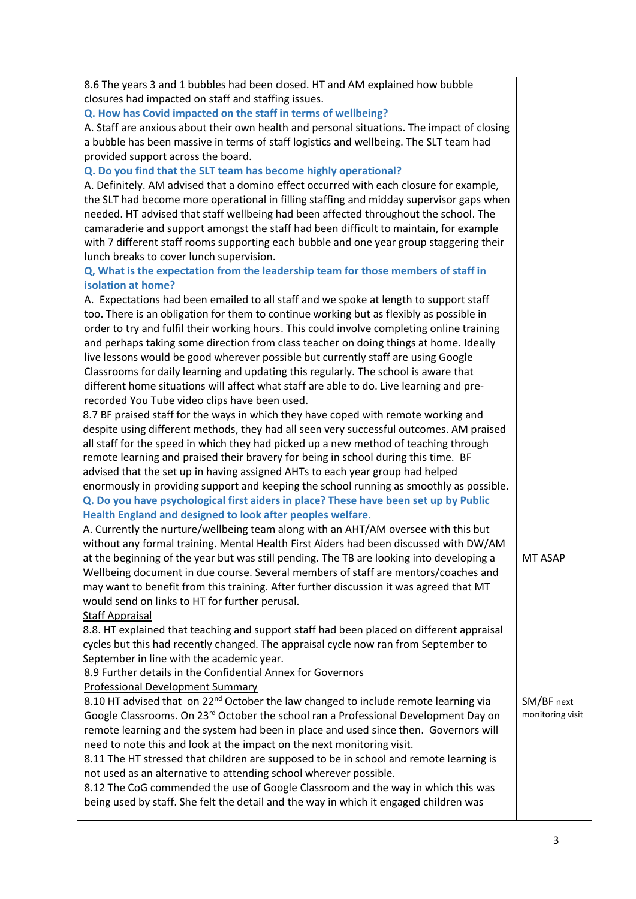| 8.6 The years 3 and 1 bubbles had been closed. HT and AM explained how bubble                   |                  |
|-------------------------------------------------------------------------------------------------|------------------|
| closures had impacted on staff and staffing issues.                                             |                  |
| Q. How has Covid impacted on the staff in terms of wellbeing?                                   |                  |
| A. Staff are anxious about their own health and personal situations. The impact of closing      |                  |
| a bubble has been massive in terms of staff logistics and wellbeing. The SLT team had           |                  |
| provided support across the board.                                                              |                  |
| Q. Do you find that the SLT team has become highly operational?                                 |                  |
| A. Definitely. AM advised that a domino effect occurred with each closure for example,          |                  |
| the SLT had become more operational in filling staffing and midday supervisor gaps when         |                  |
| needed. HT advised that staff wellbeing had been affected throughout the school. The            |                  |
| camaraderie and support amongst the staff had been difficult to maintain, for example           |                  |
| with 7 different staff rooms supporting each bubble and one year group staggering their         |                  |
| lunch breaks to cover lunch supervision.                                                        |                  |
| Q, What is the expectation from the leadership team for those members of staff in               |                  |
| isolation at home?                                                                              |                  |
| A. Expectations had been emailed to all staff and we spoke at length to support staff           |                  |
| too. There is an obligation for them to continue working but as flexibly as possible in         |                  |
| order to try and fulfil their working hours. This could involve completing online training      |                  |
| and perhaps taking some direction from class teacher on doing things at home. Ideally           |                  |
| live lessons would be good wherever possible but currently staff are using Google               |                  |
| Classrooms for daily learning and updating this regularly. The school is aware that             |                  |
| different home situations will affect what staff are able to do. Live learning and pre-         |                  |
| recorded You Tube video clips have been used.                                                   |                  |
| 8.7 BF praised staff for the ways in which they have coped with remote working and              |                  |
| despite using different methods, they had all seen very successful outcomes. AM praised         |                  |
| all staff for the speed in which they had picked up a new method of teaching through            |                  |
| remote learning and praised their bravery for being in school during this time. BF              |                  |
| advised that the set up in having assigned AHTs to each year group had helped                   |                  |
| enormously in providing support and keeping the school running as smoothly as possible.         |                  |
| Q. Do you have psychological first aiders in place? These have been set up by Public            |                  |
| Health England and designed to look after peoples welfare.                                      |                  |
| A. Currently the nurture/wellbeing team along with an AHT/AM oversee with this but              |                  |
| without any formal training. Mental Health First Aiders had been discussed with DW/AM           |                  |
| at the beginning of the year but was still pending. The TB are looking into developing a        | MT ASAP          |
| Wellbeing document in due course. Several members of staff are mentors/coaches and              |                  |
| may want to benefit from this training. After further discussion it was agreed that MT          |                  |
| would send on links to HT for further perusal.                                                  |                  |
| <b>Staff Appraisal</b>                                                                          |                  |
| 8.8. HT explained that teaching and support staff had been placed on different appraisal        |                  |
| cycles but this had recently changed. The appraisal cycle now ran from September to             |                  |
| September in line with the academic year.                                                       |                  |
| 8.9 Further details in the Confidential Annex for Governors                                     |                  |
| <b>Professional Development Summary</b>                                                         |                  |
| 8.10 HT advised that on 22 <sup>nd</sup> October the law changed to include remote learning via | SM/BF next       |
| Google Classrooms. On 23 <sup>rd</sup> October the school ran a Professional Development Day on | monitoring visit |
| remote learning and the system had been in place and used since then. Governors will            |                  |
| need to note this and look at the impact on the next monitoring visit.                          |                  |
| 8.11 The HT stressed that children are supposed to be in school and remote learning is          |                  |
| not used as an alternative to attending school wherever possible.                               |                  |
| 8.12 The CoG commended the use of Google Classroom and the way in which this was                |                  |
| being used by staff. She felt the detail and the way in which it engaged children was           |                  |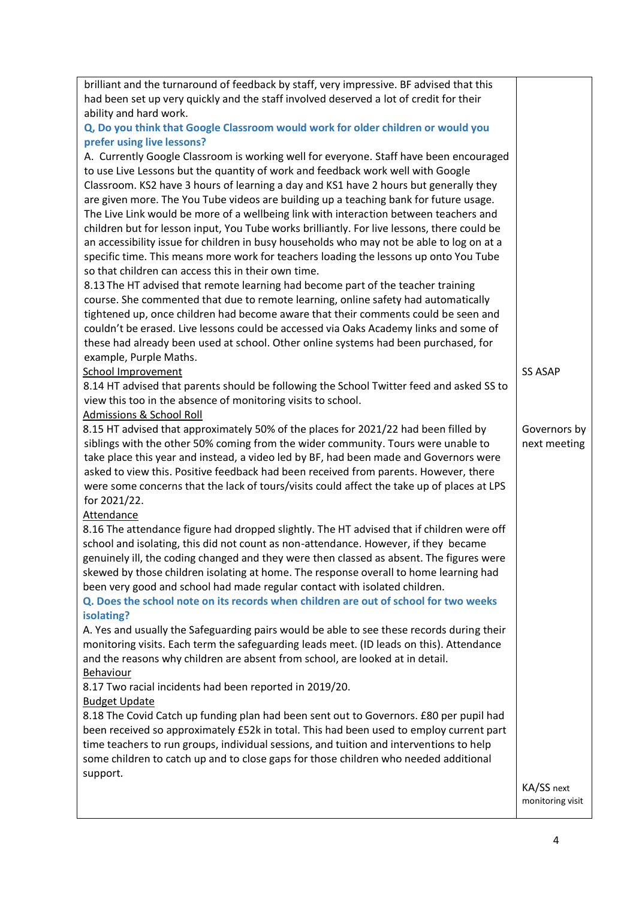| brilliant and the turnaround of feedback by staff, very impressive. BF advised that this                   |                                |
|------------------------------------------------------------------------------------------------------------|--------------------------------|
| had been set up very quickly and the staff involved deserved a lot of credit for their                     |                                |
| ability and hard work.                                                                                     |                                |
| Q, Do you think that Google Classroom would work for older children or would you                           |                                |
| prefer using live lessons?                                                                                 |                                |
| A. Currently Google Classroom is working well for everyone. Staff have been encouraged                     |                                |
| to use Live Lessons but the quantity of work and feedback work well with Google                            |                                |
| Classroom. KS2 have 3 hours of learning a day and KS1 have 2 hours but generally they                      |                                |
| are given more. The You Tube videos are building up a teaching bank for future usage.                      |                                |
| The Live Link would be more of a wellbeing link with interaction between teachers and                      |                                |
| children but for lesson input, You Tube works brilliantly. For live lessons, there could be                |                                |
| an accessibility issue for children in busy households who may not be able to log on at a                  |                                |
| specific time. This means more work for teachers loading the lessons up onto You Tube                      |                                |
| so that children can access this in their own time.                                                        |                                |
| 8.13 The HT advised that remote learning had become part of the teacher training                           |                                |
| course. She commented that due to remote learning, online safety had automatically                         |                                |
| tightened up, once children had become aware that their comments could be seen and                         |                                |
| couldn't be erased. Live lessons could be accessed via Oaks Academy links and some of                      |                                |
| these had already been used at school. Other online systems had been purchased, for                        |                                |
| example, Purple Maths.                                                                                     |                                |
| <b>School Improvement</b>                                                                                  | <b>SS ASAP</b>                 |
| 8.14 HT advised that parents should be following the School Twitter feed and asked SS to                   |                                |
| view this too in the absence of monitoring visits to school.                                               |                                |
| <b>Admissions &amp; School Roll</b>                                                                        |                                |
| 8.15 HT advised that approximately 50% of the places for 2021/22 had been filled by                        | Governors by                   |
| siblings with the other 50% coming from the wider community. Tours were unable to                          | next meeting                   |
| take place this year and instead, a video led by BF, had been made and Governors were                      |                                |
| asked to view this. Positive feedback had been received from parents. However, there                       |                                |
| were some concerns that the lack of tours/visits could affect the take up of places at LPS<br>for 2021/22. |                                |
| <b>Attendance</b>                                                                                          |                                |
| 8.16 The attendance figure had dropped slightly. The HT advised that if children were off                  |                                |
| school and isolating, this did not count as non-attendance. However, if they became                        |                                |
| genuinely ill, the coding changed and they were then classed as absent. The figures were                   |                                |
| skewed by those children isolating at home. The response overall to home learning had                      |                                |
| been very good and school had made regular contact with isolated children.                                 |                                |
| Q. Does the school note on its records when children are out of school for two weeks                       |                                |
| isolating?                                                                                                 |                                |
| A. Yes and usually the Safeguarding pairs would be able to see these records during their                  |                                |
| monitoring visits. Each term the safeguarding leads meet. (ID leads on this). Attendance                   |                                |
| and the reasons why children are absent from school, are looked at in detail.                              |                                |
| Behaviour                                                                                                  |                                |
| 8.17 Two racial incidents had been reported in 2019/20.                                                    |                                |
| <b>Budget Update</b>                                                                                       |                                |
| 8.18 The Covid Catch up funding plan had been sent out to Governors. £80 per pupil had                     |                                |
| been received so approximately £52k in total. This had been used to employ current part                    |                                |
| time teachers to run groups, individual sessions, and tuition and interventions to help                    |                                |
| some children to catch up and to close gaps for those children who needed additional                       |                                |
| support.                                                                                                   |                                |
|                                                                                                            | KA/SS next<br>monitoring visit |
|                                                                                                            |                                |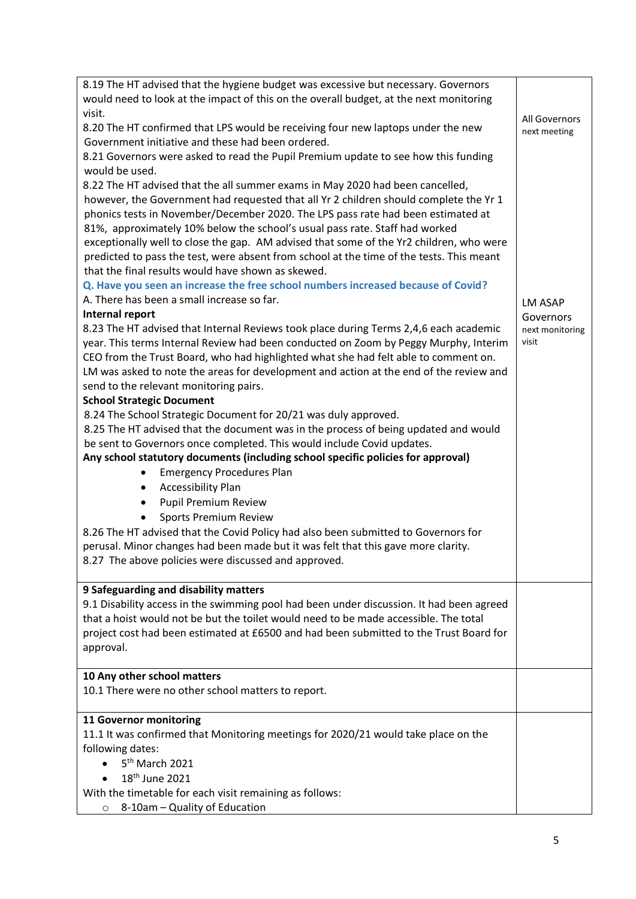| 8.19 The HT advised that the hygiene budget was excessive but necessary. Governors                                                |                              |
|-----------------------------------------------------------------------------------------------------------------------------------|------------------------------|
| would need to look at the impact of this on the overall budget, at the next monitoring                                            |                              |
| visit.                                                                                                                            |                              |
| 8.20 The HT confirmed that LPS would be receiving four new laptops under the new                                                  | All Governors                |
| Government initiative and these had been ordered.                                                                                 | next meeting                 |
| 8.21 Governors were asked to read the Pupil Premium update to see how this funding                                                |                              |
| would be used.                                                                                                                    |                              |
| 8.22 The HT advised that the all summer exams in May 2020 had been cancelled,                                                     |                              |
| however, the Government had requested that all Yr 2 children should complete the Yr 1                                             |                              |
| phonics tests in November/December 2020. The LPS pass rate had been estimated at                                                  |                              |
| 81%, approximately 10% below the school's usual pass rate. Staff had worked                                                       |                              |
| exceptionally well to close the gap. AM advised that some of the Yr2 children, who were                                           |                              |
| predicted to pass the test, were absent from school at the time of the tests. This meant                                          |                              |
| that the final results would have shown as skewed.                                                                                |                              |
| Q. Have you seen an increase the free school numbers increased because of Covid?                                                  |                              |
| A. There has been a small increase so far.                                                                                        |                              |
| Internal report                                                                                                                   | <b>LM ASAP</b>               |
| 8.23 The HT advised that Internal Reviews took place during Terms 2,4,6 each academic                                             | Governors<br>next monitoring |
| year. This terms Internal Review had been conducted on Zoom by Peggy Murphy, Interim                                              | visit                        |
| CEO from the Trust Board, who had highlighted what she had felt able to comment on.                                               |                              |
| LM was asked to note the areas for development and action at the end of the review and                                            |                              |
| send to the relevant monitoring pairs.                                                                                            |                              |
| <b>School Strategic Document</b>                                                                                                  |                              |
| 8.24 The School Strategic Document for 20/21 was duly approved.                                                                   |                              |
| 8.25 The HT advised that the document was in the process of being updated and would                                               |                              |
| be sent to Governors once completed. This would include Covid updates.                                                            |                              |
| Any school statutory documents (including school specific policies for approval)                                                  |                              |
| <b>Emergency Procedures Plan</b><br>$\bullet$                                                                                     |                              |
|                                                                                                                                   |                              |
| <b>Accessibility Plan</b><br>$\bullet$                                                                                            |                              |
| <b>Pupil Premium Review</b><br>$\bullet$                                                                                          |                              |
| <b>Sports Premium Review</b><br>$\bullet$                                                                                         |                              |
| 8.26 The HT advised that the Covid Policy had also been submitted to Governors for                                                |                              |
| perusal. Minor changes had been made but it was felt that this gave more clarity.                                                 |                              |
| 8.27 The above policies were discussed and approved.                                                                              |                              |
|                                                                                                                                   |                              |
| 9 Safeguarding and disability matters<br>9.1 Disability access in the swimming pool had been under discussion. It had been agreed |                              |
|                                                                                                                                   |                              |
| that a hoist would not be but the toilet would need to be made accessible. The total                                              |                              |
| project cost had been estimated at £6500 and had been submitted to the Trust Board for                                            |                              |
| approval.                                                                                                                         |                              |
| 10 Any other school matters                                                                                                       |                              |
| 10.1 There were no other school matters to report.                                                                                |                              |
|                                                                                                                                   |                              |
| 11 Governor monitoring                                                                                                            |                              |
| 11.1 It was confirmed that Monitoring meetings for 2020/21 would take place on the                                                |                              |
| following dates:                                                                                                                  |                              |
| 5 <sup>th</sup> March 2021                                                                                                        |                              |
| 18 <sup>th</sup> June 2021                                                                                                        |                              |
| With the timetable for each visit remaining as follows:                                                                           |                              |
| 8-10am - Quality of Education<br>$\circ$                                                                                          |                              |
|                                                                                                                                   |                              |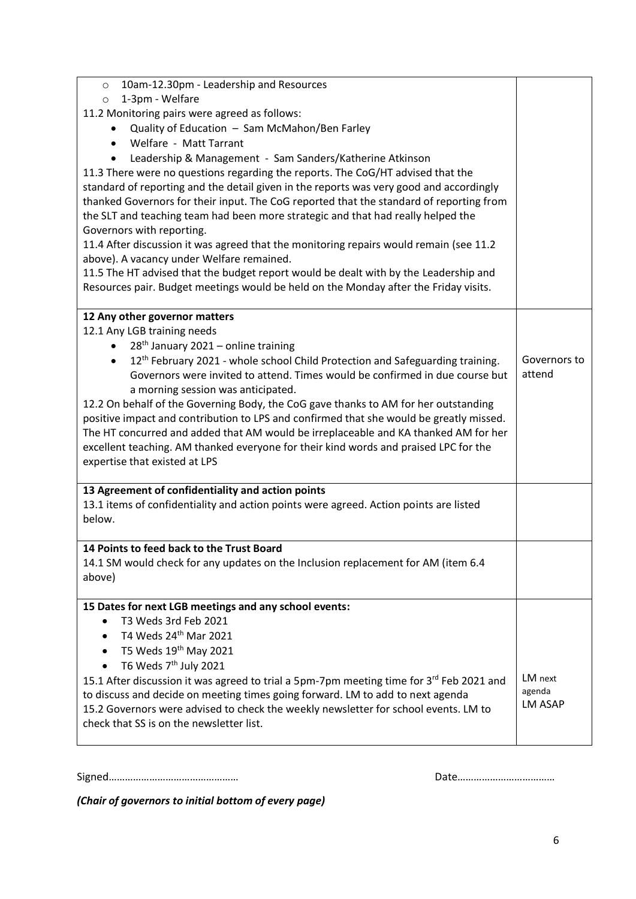| 10am-12.30pm - Leadership and Resources<br>$\circ$                                                     |                |
|--------------------------------------------------------------------------------------------------------|----------------|
| 1-3pm - Welfare<br>$\circ$                                                                             |                |
| 11.2 Monitoring pairs were agreed as follows:                                                          |                |
| Quality of Education - Sam McMahon/Ben Farley                                                          |                |
| Welfare - Matt Tarrant<br>$\bullet$                                                                    |                |
| Leadership & Management - Sam Sanders/Katherine Atkinson                                               |                |
| 11.3 There were no questions regarding the reports. The CoG/HT advised that the                        |                |
| standard of reporting and the detail given in the reports was very good and accordingly                |                |
| thanked Governors for their input. The CoG reported that the standard of reporting from                |                |
| the SLT and teaching team had been more strategic and that had really helped the                       |                |
| Governors with reporting.                                                                              |                |
| 11.4 After discussion it was agreed that the monitoring repairs would remain (see 11.2                 |                |
| above). A vacancy under Welfare remained.                                                              |                |
| 11.5 The HT advised that the budget report would be dealt with by the Leadership and                   |                |
| Resources pair. Budget meetings would be held on the Monday after the Friday visits.                   |                |
| 12 Any other governor matters                                                                          |                |
| 12.1 Any LGB training needs                                                                            |                |
| $28th$ January 2021 – online training<br>$\bullet$                                                     |                |
| 12 <sup>th</sup> February 2021 - whole school Child Protection and Safeguarding training.<br>$\bullet$ | Governors to   |
| Governors were invited to attend. Times would be confirmed in due course but                           | attend         |
| a morning session was anticipated.                                                                     |                |
| 12.2 On behalf of the Governing Body, the CoG gave thanks to AM for her outstanding                    |                |
| positive impact and contribution to LPS and confirmed that she would be greatly missed.                |                |
| The HT concurred and added that AM would be irreplaceable and KA thanked AM for her                    |                |
| excellent teaching. AM thanked everyone for their kind words and praised LPC for the                   |                |
| expertise that existed at LPS                                                                          |                |
| 13 Agreement of confidentiality and action points                                                      |                |
| 13.1 items of confidentiality and action points were agreed. Action points are listed                  |                |
| below.                                                                                                 |                |
| 14 Points to feed back to the Trust Board                                                              |                |
| 14.1 SM would check for any updates on the Inclusion replacement for AM (item 6.4                      |                |
| above)                                                                                                 |                |
|                                                                                                        |                |
| 15 Dates for next LGB meetings and any school events:                                                  |                |
| T3 Weds 3rd Feb 2021                                                                                   |                |
| T4 Weds 24th Mar 2021                                                                                  |                |
| T5 Weds 19 <sup>th</sup> May 2021                                                                      |                |
| T6 Weds 7 <sup>th</sup> July 2021                                                                      |                |
| 15.1 After discussion it was agreed to trial a 5pm-7pm meeting time for 3rd Feb 2021 and               | LM next        |
| to discuss and decide on meeting times going forward. LM to add to next agenda                         | agenda         |
| 15.2 Governors were advised to check the weekly newsletter for school events. LM to                    | <b>LM ASAP</b> |
| check that SS is on the newsletter list.                                                               |                |
|                                                                                                        |                |

Signed………………………………………… Date………………………………

*(Chair of governors to initial bottom of every page)*